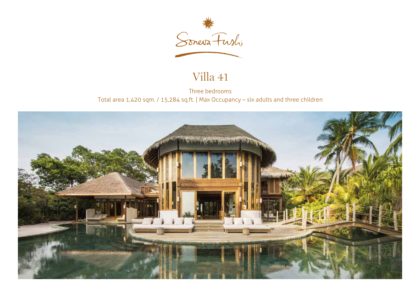

## Villa 41

Three bedrooms Total area 1,420 sqm. / 15,284 sq.ft. | Max Occupancy – six adults and three children

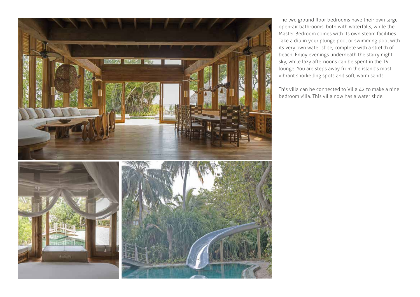

The two ground floor bedrooms have their own large open-air bathrooms, both with waterfalls, while the Master Bedroom comes with its own steam facilities. Take a dip in your plunge pool or swimming pool with its very own water slide, complete with a stretch of beach. Enjoy evenings underneath the starry night sky, while lazy afternoons can be spent in the TV lounge. You are steps away from the island's most vibrant snorkelling spots and soft, warm sands.

This villa can be connected to Villa 42 to make a nine bedroom villa. This villa now has a water slide.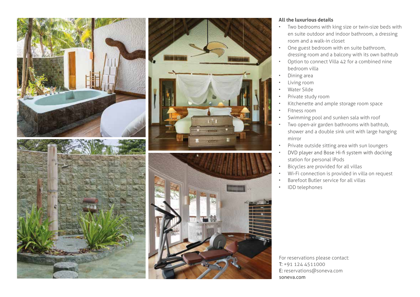



## **All the luxurious details**

- Two bedrooms with king size or twin-size beds with en suite outdoor and indoor bathroom, a dressing room and a walk-in closet
- One guest bedroom with en suite bathroom, dressing room and a balcony with its own bathtub
- Option to connect Villa 42 for a combined nine bedroom villa
- Dining area
- Living room
- Water Silde
- Private study room
- Kitchenette and ample storage room space
- Fitness room
- Swimming pool and sunken sala with roof
- Two open-air garden bathrooms with bathtub, shower and a double sink unit with large hanging mirror
- Private outside sitting area with sun loungers
- DVD player and Bose Hi-fi system with docking • station for personal iPods
- Bicycles are provided for all villas
- Wi-Fi connection is provided in villa on request
- Barefoot Butler service for all villas
- IDD telephones

For reservations please contact: T: +91 124 4511000 E: reservations@soneva.com soneva.com